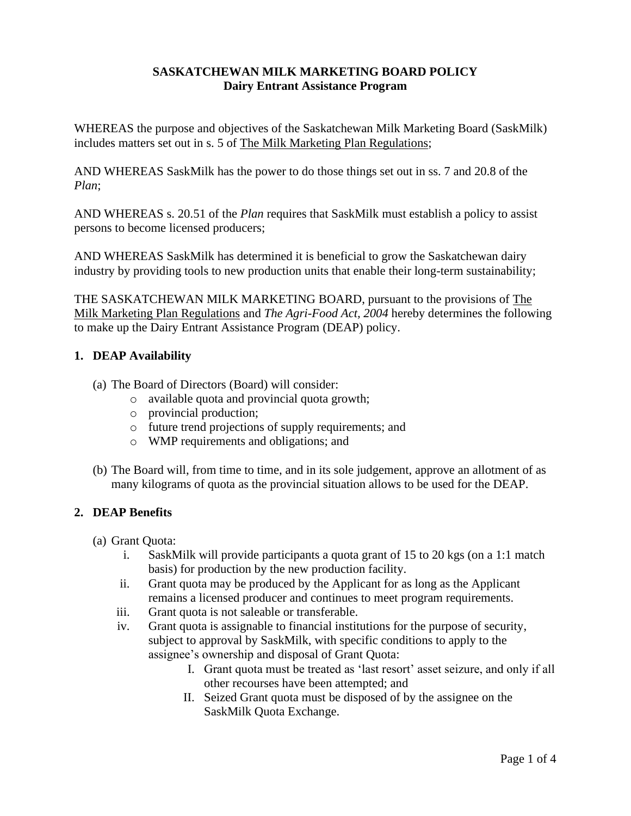## **SASKATCHEWAN MILK MARKETING BOARD POLICY Dairy Entrant Assistance Program**

WHEREAS the purpose and objectives of the Saskatchewan Milk Marketing Board (SaskMilk) includes matters set out in s. 5 of The Milk Marketing Plan Regulations;

AND WHEREAS SaskMilk has the power to do those things set out in ss. 7 and 20.8 of the *Plan*;

AND WHEREAS s. 20.51 of the *Plan* requires that SaskMilk must establish a policy to assist persons to become licensed producers;

AND WHEREAS SaskMilk has determined it is beneficial to grow the Saskatchewan dairy industry by providing tools to new production units that enable their long-term sustainability;

THE SASKATCHEWAN MILK MARKETING BOARD, pursuant to the provisions of The Milk Marketing Plan Regulations and *The Agri-Food Act, 2004* hereby determines the following to make up the Dairy Entrant Assistance Program (DEAP) policy.

# **1. DEAP Availability**

- (a) The Board of Directors (Board) will consider:
	- o available quota and provincial quota growth;
	- o provincial production;
	- o future trend projections of supply requirements; and
	- o WMP requirements and obligations; and
- (b) The Board will, from time to time, and in its sole judgement, approve an allotment of as many kilograms of quota as the provincial situation allows to be used for the DEAP.

## **2. DEAP Benefits**

- (a) Grant Quota:
	- i. SaskMilk will provide participants a quota grant of 15 to 20 kgs (on a 1:1 match basis) for production by the new production facility.
	- ii. Grant quota may be produced by the Applicant for as long as the Applicant remains a licensed producer and continues to meet program requirements.
	- iii. Grant quota is not saleable or transferable.
	- iv. Grant quota is assignable to financial institutions for the purpose of security, subject to approval by SaskMilk, with specific conditions to apply to the assignee's ownership and disposal of Grant Quota:
		- I. Grant quota must be treated as 'last resort' asset seizure, and only if all other recourses have been attempted; and
		- II. Seized Grant quota must be disposed of by the assignee on the SaskMilk Quota Exchange.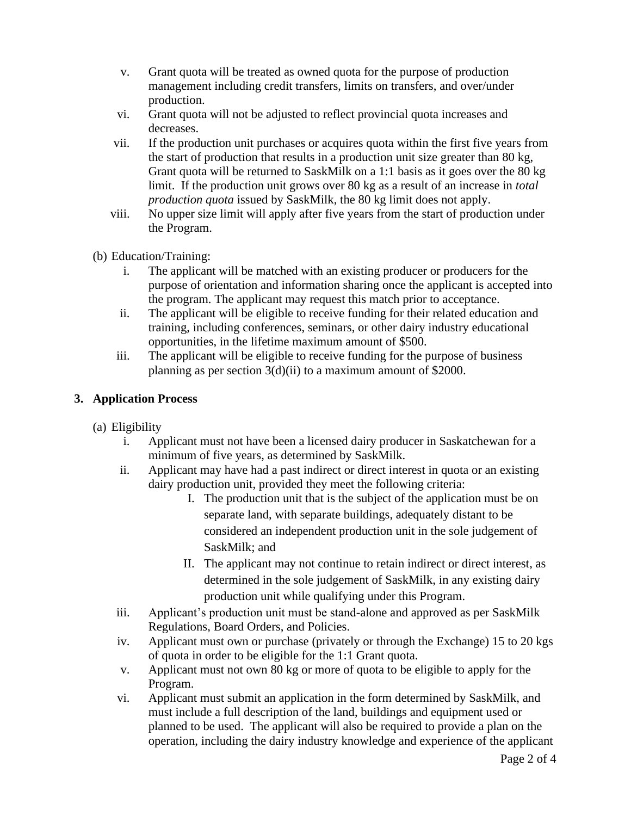- v. Grant quota will be treated as owned quota for the purpose of production management including credit transfers, limits on transfers, and over/under production.
- vi. Grant quota will not be adjusted to reflect provincial quota increases and decreases.
- vii. If the production unit purchases or acquires quota within the first five years from the start of production that results in a production unit size greater than 80 kg, Grant quota will be returned to SaskMilk on a 1:1 basis as it goes over the 80 kg limit. If the production unit grows over 80 kg as a result of an increase in *total production quota* issued by SaskMilk, the 80 kg limit does not apply.
- viii. No upper size limit will apply after five years from the start of production under the Program.
- (b) Education/Training:
	- i. The applicant will be matched with an existing producer or producers for the purpose of orientation and information sharing once the applicant is accepted into the program. The applicant may request this match prior to acceptance.
	- ii. The applicant will be eligible to receive funding for their related education and training, including conferences, seminars, or other dairy industry educational opportunities, in the lifetime maximum amount of \$500.
	- iii. The applicant will be eligible to receive funding for the purpose of business planning as per section 3(d)(ii) to a maximum amount of \$2000.

# **3. Application Process**

- (a) Eligibility
	- i. Applicant must not have been a licensed dairy producer in Saskatchewan for a minimum of five years, as determined by SaskMilk.
	- ii. Applicant may have had a past indirect or direct interest in quota or an existing dairy production unit, provided they meet the following criteria:
		- I. The production unit that is the subject of the application must be on separate land, with separate buildings, adequately distant to be considered an independent production unit in the sole judgement of SaskMilk; and
		- II. The applicant may not continue to retain indirect or direct interest, as determined in the sole judgement of SaskMilk, in any existing dairy production unit while qualifying under this Program.
	- iii. Applicant's production unit must be stand-alone and approved as per SaskMilk Regulations, Board Orders, and Policies.
	- iv. Applicant must own or purchase (privately or through the Exchange) 15 to 20 kgs of quota in order to be eligible for the 1:1 Grant quota.
	- v. Applicant must not own 80 kg or more of quota to be eligible to apply for the Program.
	- vi. Applicant must submit an application in the form determined by SaskMilk, and must include a full description of the land, buildings and equipment used or planned to be used. The applicant will also be required to provide a plan on the operation, including the dairy industry knowledge and experience of the applicant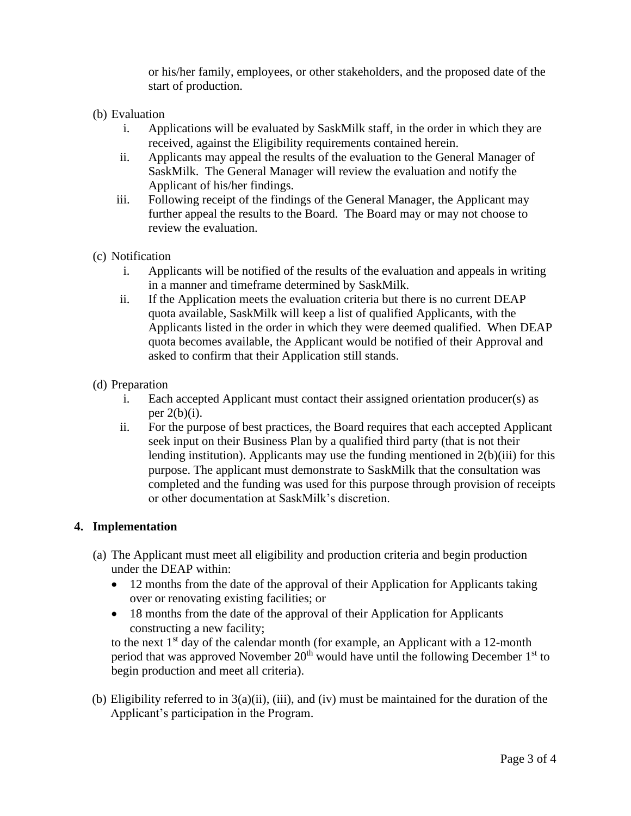or his/her family, employees, or other stakeholders, and the proposed date of the start of production.

- (b) Evaluation
	- i. Applications will be evaluated by SaskMilk staff, in the order in which they are received, against the Eligibility requirements contained herein.
	- ii. Applicants may appeal the results of the evaluation to the General Manager of SaskMilk. The General Manager will review the evaluation and notify the Applicant of his/her findings.
	- iii. Following receipt of the findings of the General Manager, the Applicant may further appeal the results to the Board. The Board may or may not choose to review the evaluation.
- (c) Notification
	- i. Applicants will be notified of the results of the evaluation and appeals in writing in a manner and timeframe determined by SaskMilk.
	- ii. If the Application meets the evaluation criteria but there is no current DEAP quota available, SaskMilk will keep a list of qualified Applicants, with the Applicants listed in the order in which they were deemed qualified. When DEAP quota becomes available, the Applicant would be notified of their Approval and asked to confirm that their Application still stands.
- (d) Preparation
	- i. Each accepted Applicant must contact their assigned orientation producer(s) as per  $2(b)(i)$ .
	- ii. For the purpose of best practices, the Board requires that each accepted Applicant seek input on their Business Plan by a qualified third party (that is not their lending institution). Applicants may use the funding mentioned in 2(b)(iii) for this purpose. The applicant must demonstrate to SaskMilk that the consultation was completed and the funding was used for this purpose through provision of receipts or other documentation at SaskMilk's discretion.

#### **4. Implementation**

- (a) The Applicant must meet all eligibility and production criteria and begin production under the DEAP within:
	- 12 months from the date of the approval of their Application for Applicants taking over or renovating existing facilities; or
	- 18 months from the date of the approval of their Application for Applicants constructing a new facility;

to the next  $1<sup>st</sup>$  day of the calendar month (for example, an Applicant with a 12-month period that was approved November  $20<sup>th</sup>$  would have until the following December  $1<sup>st</sup>$  to begin production and meet all criteria).

(b) Eligibility referred to in  $3(a)(ii)$ , (iii), and (iv) must be maintained for the duration of the Applicant's participation in the Program.